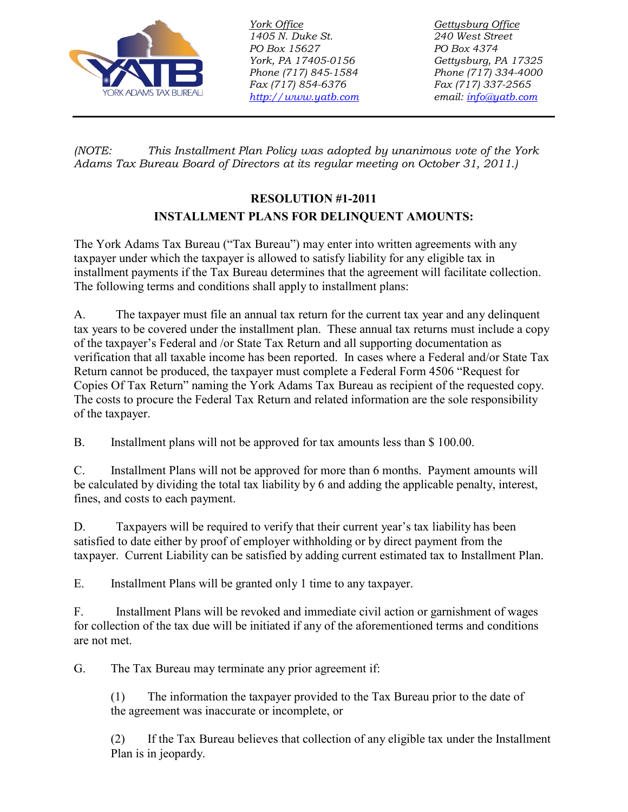

*1405 N. Duke St. 240 West Street PO Box 15627 PO Box 4374 Phone (717) 845-1584 Phone (717) 334-4000 Fax (717) 854-6376 Fax (717) 337-2565 [http://www.yatb.com](http://www.yatb.com/) email: [info@yatb.com](mailto:info@yatb.com)*

*York Office Gettysburg Office York, PA 17405-0156 Gettysburg, PA 17325*

*(NOTE: This Installment Plan Policy was adopted by unanimous vote of the York Adams Tax Bureau Board of Directors at its regular meeting on October 31, 2011.)*

## **RESOLUTION #1-2011 INSTALLMENT PLANS FOR DELINQUENT AMOUNTS:**

The York Adams Tax Bureau ("Tax Bureau") may enter into written agreements with any taxpayer under which the taxpayer is allowed to satisfy liability for any eligible tax in installment payments if the Tax Bureau determines that the agreement will facilitate collection. The following terms and conditions shall apply to installment plans:

A. The taxpayer must file an annual tax return for the current tax year and any delinquent tax years to be covered under the installment plan. These annual tax returns must include a copy of the taxpayer's Federal and /or State Tax Return and all supporting documentation as verification that all taxable income has been reported. In cases where a Federal and/or State Tax Return cannot be produced, the taxpayer must complete a Federal Form 4506 "Request for Copies Of Tax Return" naming the York Adams Tax Bureau as recipient of the requested copy. The costs to procure the Federal Tax Return and related information are the sole responsibility of the taxpayer.

B. Installment plans will not be approved for tax amounts less than \$ 100.00.

C. Installment Plans will not be approved for more than 6 months. Payment amounts will be calculated by dividing the total tax liability by 6 and adding the applicable penalty, interest, fines, and costs to each payment.

D. Taxpayers will be required to verify that their current year's tax liability has been satisfied to date either by proof of employer withholding or by direct payment from the taxpayer. Current Liability can be satisfied by adding current estimated tax to Installment Plan.

E. Installment Plans will be granted only 1 time to any taxpayer.

F. Installment Plans will be revoked and immediate civil action or garnishment of wages for collection of the tax due will be initiated if any of the aforementioned terms and conditions are not met.

G. The Tax Bureau may terminate any prior agreement if:

(1) The information the taxpayer provided to the Tax Bureau prior to the date of the agreement was inaccurate or incomplete, or

(2) If the Tax Bureau believes that collection of any eligible tax under the Installment Plan is in jeopardy.